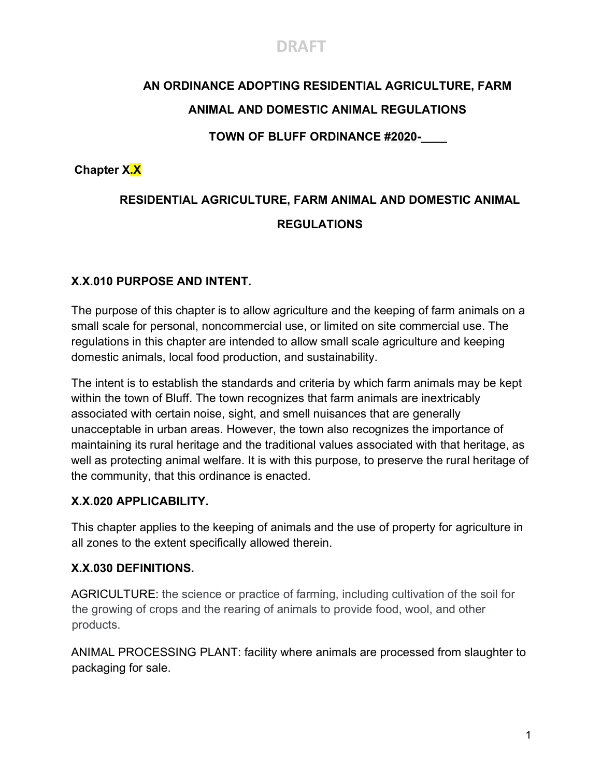## **DRAFT**

# **AN ORDINANCE ADOPTING RESIDENTIAL AGRICULTURE, FARM**

#### **ANIMAL AND DOMESTIC ANIMAL REGULATIONS**

#### **TOWN OF BLUFF ORDINANCE #2020-**

#### **Chapter X.X**

## **RESIDENTIAL AGRICULTURE, FARM ANIMAL AND DOMESTIC ANIMAL REGULATIONS**

#### **X.X.010 PURPOSE AND INTENT.**

The purpose of this chapter is to allow agriculture and the keeping of farm animals on a small scale for personal, noncommercial use, or limited on site commercial use. The regulations in this chapter are intended to allow small scale agriculture and keeping domestic animals, local food production, and sustainability.

The intent is to establish the standards and criteria by which farm animals may be kept within the town of Bluff. The town recognizes that farm animals are inextricably associated with certain noise, sight, and smell nuisances that are generally unacceptable in urban areas. However, the town also recognizes the importance of maintaining its rural heritage and the traditional values associated with that heritage, as well as protecting animal welfare. It is with this purpose, to preserve the rural heritage of the community, that this ordinance is enacted.

#### **X.X.020 APPLICABILITY.**

This chapter applies to the keeping of animals and the use of property for agriculture in all zones to the extent specifically allowed therein.

#### **X.X.030 DEFINITIONS.**

AGRICULTURE: the science or practice of farming, including cultivation of the soil for the growing of crops and the rearing of animals to provide food, wool, and other products.

ANIMAL PROCESSING PLANT: facility where animals are processed from slaughter to packaging for sale.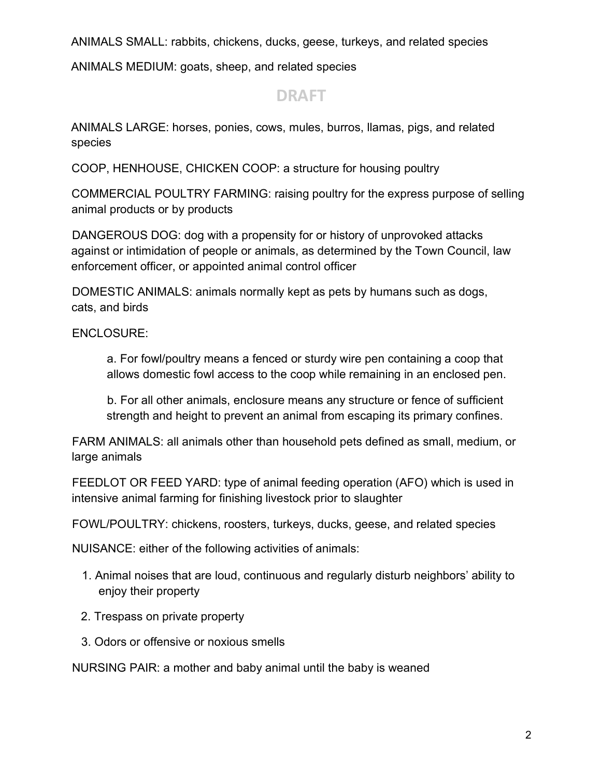ANIMALS SMALL: rabbits, chickens, ducks, geese, turkeys, and related species

ANIMALS MEDIUM: goats, sheep, and related species

## **DRAFT**

ANIMALS LARGE: horses, ponies, cows, mules, burros, llamas, pigs, and related species

COOP, HENHOUSE, CHICKEN COOP: a structure for housing poultry

COMMERCIAL POULTRY FARMING: raising poultry for the express purpose of selling animal products or by products

DANGEROUS DOG: dog with a propensity for or history of unprovoked attacks against or intimidation of people or animals, as determined by the Town Council, law enforcement officer, or appointed animal control officer

DOMESTIC ANIMALS: animals normally kept as pets by humans such as dogs, cats, and birds

ENCLOSURE:

a. For fowl/poultry means a fenced or sturdy wire pen containing a coop that allows domestic fowl access to the coop while remaining in an enclosed pen.

b. For all other animals, enclosure means any structure or fence of sufficient strength and height to prevent an animal from escaping its primary confines.

FARM ANIMALS: all animals other than household pets defined as small, medium, or large animals

FEEDLOT OR FEED YARD: type of animal feeding operation (AFO) which is used in intensive animal farming for finishing livestock prior to slaughter

FOWL/POULTRY: chickens, roosters, turkeys, ducks, geese, and related species

NUISANCE: either of the following activities of animals:

- 1. Animal noises that are loud, continuous and regularly disturb neighbors' ability to enjoy their property
- 2. Trespass on private property
- 3. Odors or offensive or noxious smells

NURSING PAIR: a mother and baby animal until the baby is weaned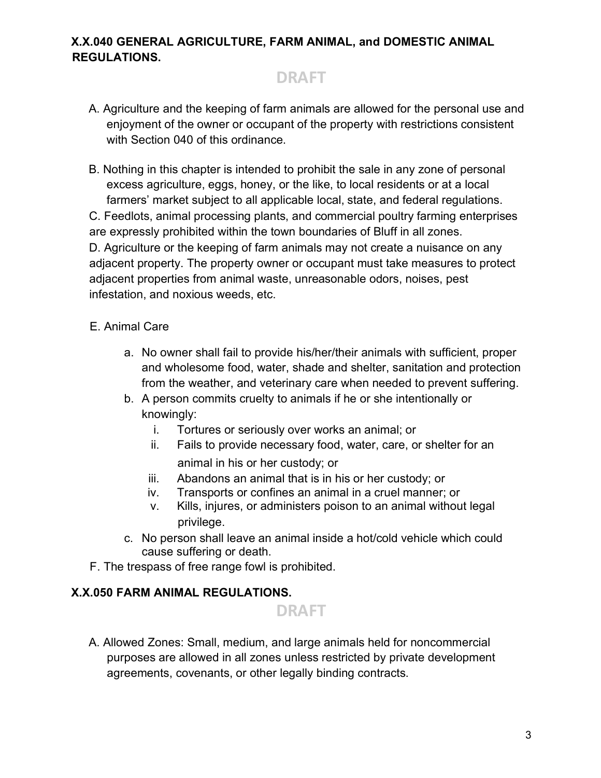#### **X.X.040 GENERAL AGRICULTURE, FARM ANIMAL, and DOMESTIC ANIMAL REGULATIONS.**

## **DRAFT**

A. Agriculture and the keeping of farm animals are allowed for the personal use and enjoyment of the owner or occupant of the property with restrictions consistent with Section 040 of this ordinance.

B. Nothing in this chapter is intended to prohibit the sale in any zone of personal excess agriculture, eggs, honey, or the like, to local residents or at a local farmers' market subject to all applicable local, state, and federal regulations. C. Feedlots, animal processing plants, and commercial poultry farming enterprises are expressly prohibited within the town boundaries of Bluff in all zones. D. Agriculture or the keeping of farm animals may not create a nuisance on any adjacent property. The property owner or occupant must take measures to protect adjacent properties from animal waste, unreasonable odors, noises, pest infestation, and noxious weeds, etc.

#### E. Animal Care

- a. No owner shall fail to provide his/her/their animals with sufficient, proper and wholesome food, water, shade and shelter, sanitation and protection from the weather, and veterinary care when needed to prevent suffering.
- b. A person commits cruelty to animals if he or she intentionally or knowingly:
	- i. Tortures or seriously over works an animal; or
	- ii. Fails to provide necessary food, water, care, or shelter for an animal in his or her custody; or
	- iii. Abandons an animal that is in his or her custody; or
	- iv. Transports or confines an animal in a cruel manner; or
	- v. Kills, injures, or administers poison to an animal without legal privilege.
- c. No person shall leave an animal inside a hot/cold vehicle which could cause suffering or death.
- F. The trespass of free range fowl is prohibited.

#### **X.X.050 FARM ANIMAL REGULATIONS.**



A. Allowed Zones: Small, medium, and large animals held for noncommercial purposes are allowed in all zones unless restricted by private development agreements, covenants, or other legally binding contracts.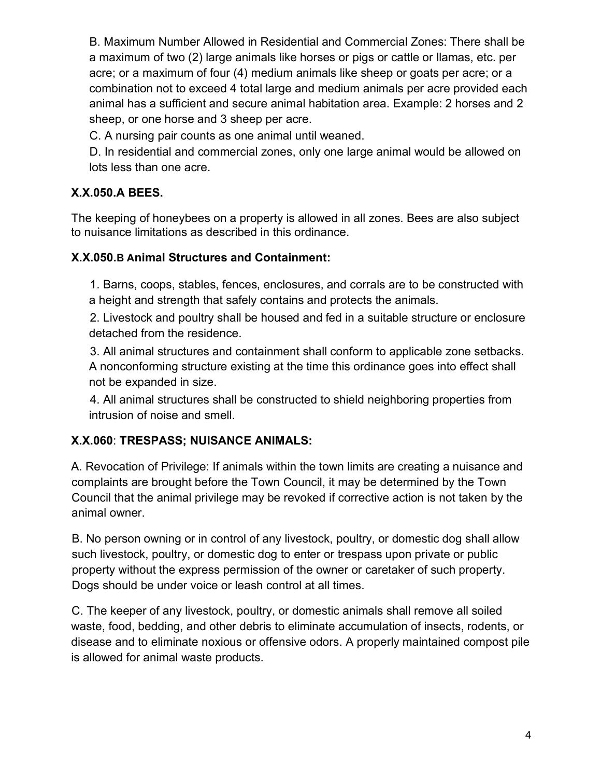B. Maximum Number Allowed in Residential and Commercial Zones: There shall be a maximum of two (2) large animals like horses or pigs or cattle or llamas, etc. per acre; or a maximum of four (4) medium animals like sheep or goats per acre; or a combination not to exceed 4 total large and medium animals per acre provided each animal has a sufficient and secure animal habitation area. Example: 2 horses and 2 sheep, or one horse and 3 sheep per acre.

C. A nursing pair counts as one animal until weaned.

D. In residential and commercial zones, only one large animal would be allowed on lots less than one acre.

#### **X.X.050.A BEES.**

The keeping of honeybees on a property is allowed in all zones. Bees are also subject to nuisance limitations as described in this ordinance.

#### **X.X.050.B Animal Structures and Containment:**

1. Barns, coops, stables, fences, enclosures, and corrals are to be constructed with a height and strength that safely contains and protects the animals.

2. Livestock and poultry shall be housed and fed in a suitable structure or enclosure detached from the residence.

3. All animal structures and containment shall conform to applicable zone setbacks. A nonconforming structure existing at the time this ordinance goes into effect shall not be expanded in size.

4. All animal structures shall be constructed to shield neighboring properties from intrusion of noise and smell.

#### **X.X.060**: **TRESPASS; NUISANCE ANIMALS:**

A. Revocation of Privilege: If animals within the town limits are creating a nuisance and complaints are brought before the Town Council, it may be determined by the Town Council that the animal privilege may be revoked if corrective action is not taken by the animal owner.

B. No person owning or in control of any livestock, poultry, or domestic dog shall allow such livestock, poultry, or domestic dog to enter or trespass upon private or public property without the express permission of the owner or caretaker of such property. Dogs should be under voice or leash control at all times.

C. The keeper of any livestock, poultry, or domestic animals shall remove all soiled waste, food, bedding, and other debris to eliminate accumulation of insects, rodents, or disease and to eliminate noxious or offensive odors. A properly maintained compost pile is allowed for animal waste products.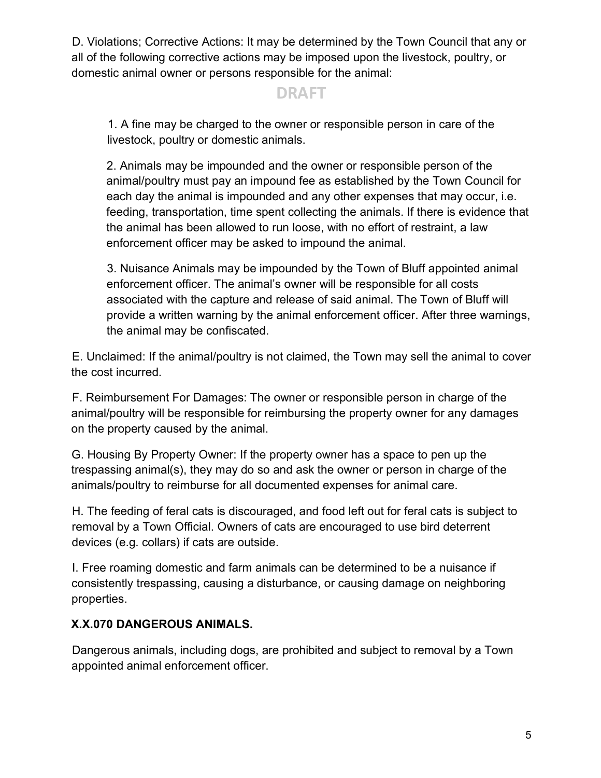D. Violations; Corrective Actions: It may be determined by the Town Council that any or all of the following corrective actions may be imposed upon the livestock, poultry, or domestic animal owner or persons responsible for the animal:

## **DRAFT**

1. A fine may be charged to the owner or responsible person in care of the livestock, poultry or domestic animals.

2. Animals may be impounded and the owner or responsible person of the animal/poultry must pay an impound fee as established by the Town Council for each day the animal is impounded and any other expenses that may occur, i.e. feeding, transportation, time spent collecting the animals. If there is evidence that the animal has been allowed to run loose, with no effort of restraint, a law enforcement officer may be asked to impound the animal.

3. Nuisance Animals may be impounded by the Town of Bluff appointed animal enforcement officer. The animal's owner will be responsible for all costs associated with the capture and release of said animal. The Town of Bluff will provide a written warning by the animal enforcement officer. After three warnings, the animal may be confiscated.

E. Unclaimed: If the animal/poultry is not claimed, the Town may sell the animal to cover the cost incurred.

F. Reimbursement For Damages: The owner or responsible person in charge of the animal/poultry will be responsible for reimbursing the property owner for any damages on the property caused by the animal.

G. Housing By Property Owner: If the property owner has a space to pen up the trespassing animal(s), they may do so and ask the owner or person in charge of the animals/poultry to reimburse for all documented expenses for animal care.

H. The feeding of feral cats is discouraged, and food left out for feral cats is subject to removal by a Town Official. Owners of cats are encouraged to use bird deterrent devices (e.g. collars) if cats are outside.

I. Free roaming domestic and farm animals can be determined to be a nuisance if consistently trespassing, causing a disturbance, or causing damage on neighboring properties.

#### **X.X.070 DANGEROUS ANIMALS.**

Dangerous animals, including dogs, are prohibited and subject to removal by a Town appointed animal enforcement officer.